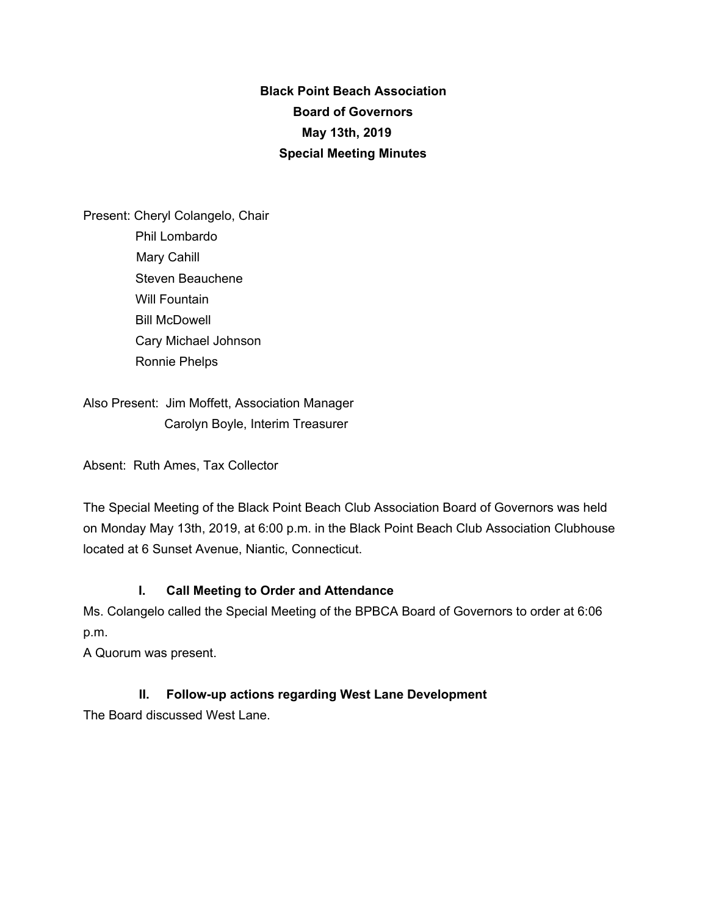**Black Point Beach Association Board of Governors May 13th, 2019 Special Meeting Minutes**

Present: Cheryl Colangelo, Chair Phil Lombardo Mary Cahill Steven Beauchene Will Fountain Bill McDowell Cary Michael Johnson Ronnie Phelps

Also Present: Jim Moffett, Association Manager Carolyn Boyle, Interim Treasurer

Absent: Ruth Ames, Tax Collector

The Special Meeting of the Black Point Beach Club Association Board of Governors was held on Monday May 13th, 2019, at 6:00 p.m. in the Black Point Beach Club Association Clubhouse located at 6 Sunset Avenue, Niantic, Connecticut.

## **I. Call Meeting to Order and Attendance**

Ms. Colangelo called the Special Meeting of the BPBCA Board of Governors to order at 6:06 p.m.

A Quorum was present.

# **II. Follow-up actions regarding West Lane Development**

The Board discussed West Lane.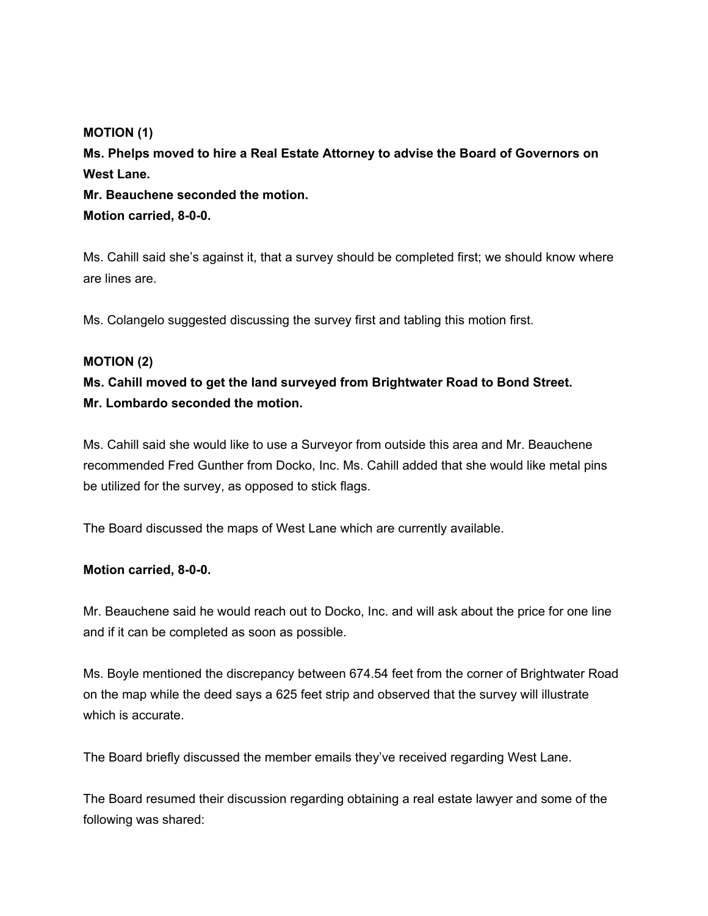#### **MOTION (1)**

**Ms. Phelps moved to hire a Real Estate Attorney to advise the Board of Governors on West Lane. Mr. Beauchene seconded the motion. Motion carried, 8-0-0.**

Ms. Cahill said she's against it, that a survey should be completed first; we should know where are lines are.

Ms. Colangelo suggested discussing the survey first and tabling this motion first.

### **MOTION (2)**

# **Ms. Cahill moved to get the land surveyed from Brightwater Road to Bond Street. Mr. Lombardo seconded the motion.**

Ms. Cahill said she would like to use a Surveyor from outside this area and Mr. Beauchene recommended Fred Gunther from Docko, Inc. Ms. Cahill added that she would like metal pins be utilized for the survey, as opposed to stick flags.

The Board discussed the maps of West Lane which are currently available.

### **Motion carried, 8-0-0.**

Mr. Beauchene said he would reach out to Docko, Inc. and will ask about the price for one line and if it can be completed as soon as possible.

Ms. Boyle mentioned the discrepancy between 674.54 feet from the corner of Brightwater Road on the map while the deed says a 625 feet strip and observed that the survey will illustrate which is accurate.

The Board briefly discussed the member emails they've received regarding West Lane.

The Board resumed their discussion regarding obtaining a real estate lawyer and some of the following was shared: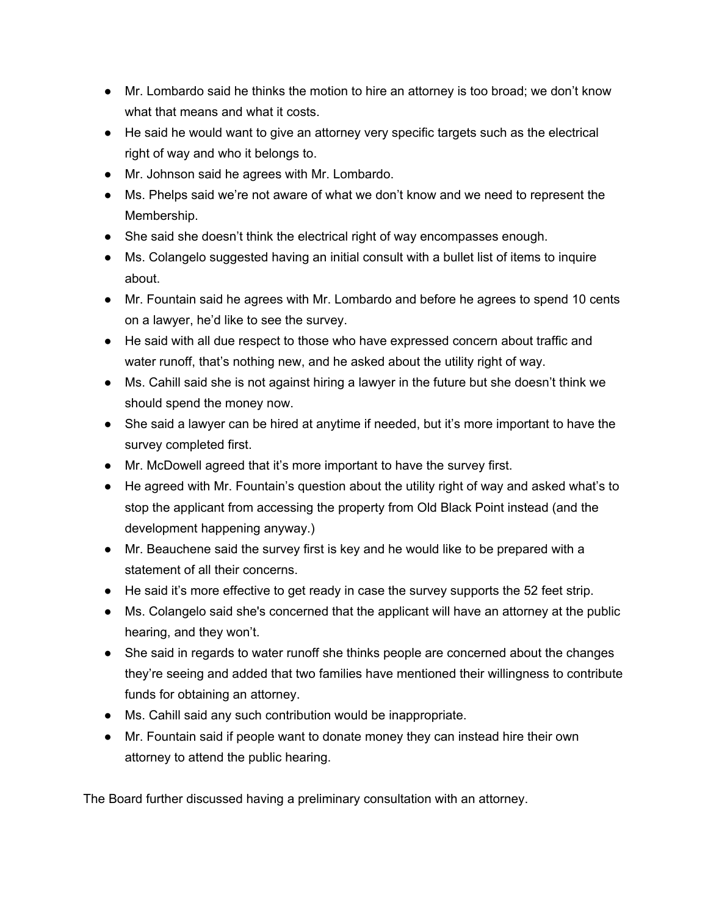- Mr. Lombardo said he thinks the motion to hire an attorney is too broad; we don't know what that means and what it costs.
- He said he would want to give an attorney very specific targets such as the electrical right of way and who it belongs to.
- Mr. Johnson said he agrees with Mr. Lombardo.
- Ms. Phelps said we're not aware of what we don't know and we need to represent the Membership.
- She said she doesn't think the electrical right of way encompasses enough.
- Ms. Colangelo suggested having an initial consult with a bullet list of items to inquire about.
- Mr. Fountain said he agrees with Mr. Lombardo and before he agrees to spend 10 cents on a lawyer, he'd like to see the survey.
- He said with all due respect to those who have expressed concern about traffic and water runoff, that's nothing new, and he asked about the utility right of way.
- Ms. Cahill said she is not against hiring a lawyer in the future but she doesn't think we should spend the money now.
- She said a lawyer can be hired at anytime if needed, but it's more important to have the survey completed first.
- Mr. McDowell agreed that it's more important to have the survey first.
- He agreed with Mr. Fountain's question about the utility right of way and asked what's to stop the applicant from accessing the property from Old Black Point instead (and the development happening anyway.)
- Mr. Beauchene said the survey first is key and he would like to be prepared with a statement of all their concerns.
- He said it's more effective to get ready in case the survey supports the 52 feet strip.
- Ms. Colangelo said she's concerned that the applicant will have an attorney at the public hearing, and they won't.
- She said in regards to water runoff she thinks people are concerned about the changes they're seeing and added that two families have mentioned their willingness to contribute funds for obtaining an attorney.
- Ms. Cahill said any such contribution would be inappropriate.
- Mr. Fountain said if people want to donate money they can instead hire their own attorney to attend the public hearing.

The Board further discussed having a preliminary consultation with an attorney.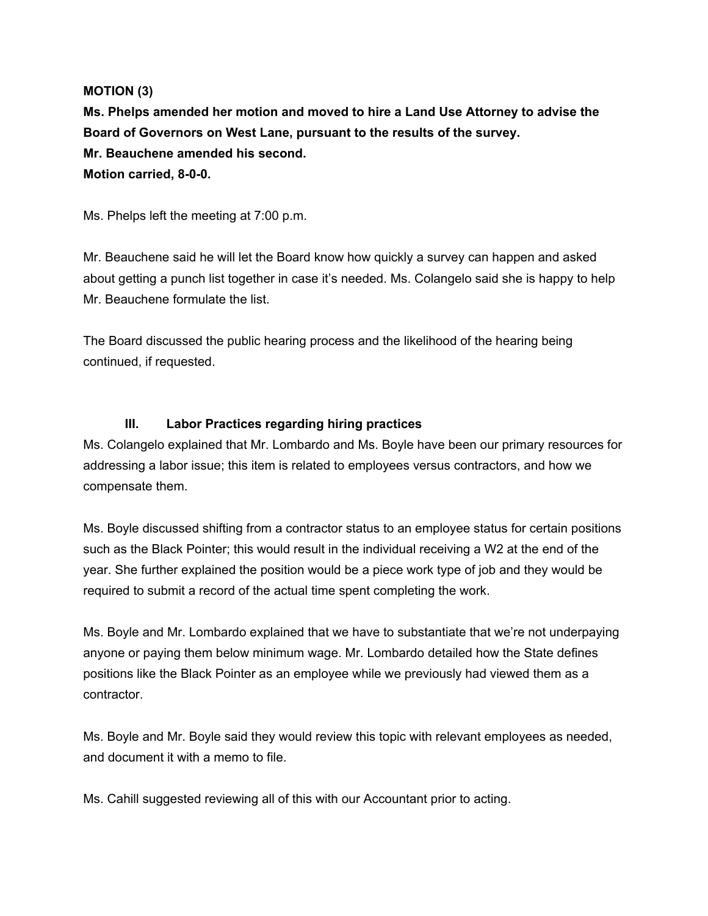### **MOTION (3)**

**Ms. Phelps amended her motion and moved to hire a Land Use Attorney to advise the Board of Governors on West Lane, pursuant to the results of the survey. Mr. Beauchene amended his second. Motion carried, 8-0-0.**

Ms. Phelps left the meeting at 7:00 p.m.

Mr. Beauchene said he will let the Board know how quickly a survey can happen and asked about getting a punch list together in case it's needed. Ms. Colangelo said she is happy to help Mr. Beauchene formulate the list.

The Board discussed the public hearing process and the likelihood of the hearing being continued, if requested.

### **III. Labor Practices regarding hiring practices**

Ms. Colangelo explained that Mr. Lombardo and Ms. Boyle have been our primary resources for addressing a labor issue; this item is related to employees versus contractors, and how we compensate them.

Ms. Boyle discussed shifting from a contractor status to an employee status for certain positions such as the Black Pointer; this would result in the individual receiving a W2 at the end of the year. She further explained the position would be a piece work type of job and they would be required to submit a record of the actual time spent completing the work.

Ms. Boyle and Mr. Lombardo explained that we have to substantiate that we're not underpaying anyone or paying them below minimum wage. Mr. Lombardo detailed how the State defines positions like the Black Pointer as an employee while we previously had viewed them as a contractor.

Ms. Boyle and Mr. Boyle said they would review this topic with relevant employees as needed, and document it with a memo to file.

Ms. Cahill suggested reviewing all of this with our Accountant prior to acting.